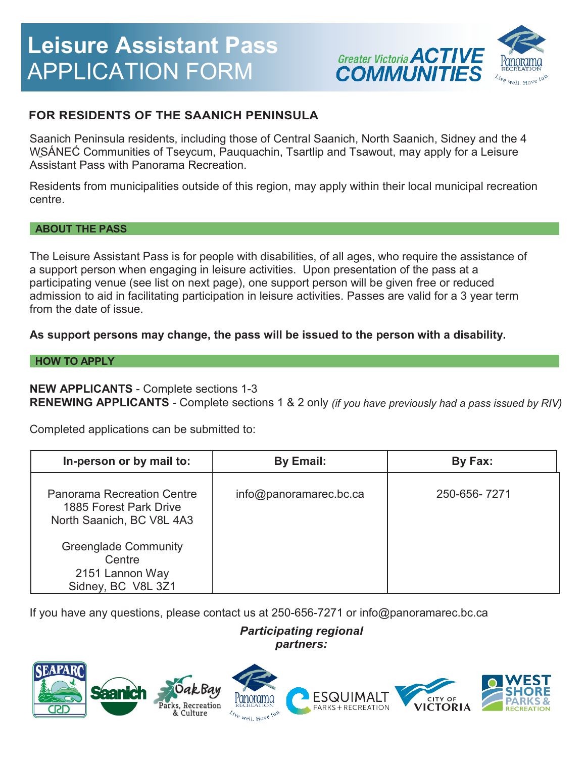# **Leisure Assistant Pass** APPLICATION FORM



# **FOR RESIDENTS OF THE SAANICH PENINSULA**

Saanich Peninsula residents, including those of Central Saanich, North Saanich, Sidney and the 4 W̱SÁNEĆ Communities of Tseycum, Pauquachin, Tsartlip and Tsawout, may apply for a Leisure Assistant Pass with Panorama Recreation.

Residents from municipalities outside of this region, may apply within their local municipal recreation centre.

### **ABOUT THE PASS**

The Leisure Assistant Pass is for people with disabilities, of all ages, who require the assistance of a support person when engaging in leisure activities. Upon presentation of the pass at a participating venue (see list on next page), one support person will be given free or reduced admission to aid in facilitating participation in leisure activities. Passes are valid for a 3 year term from the date of issue.

# **As support persons may change, the pass will be issued to the person with a disability.**

### **HOW TO APPLY**

## **NEW APPLICANTS** - Complete sections 1-3

**RENEWING APPLICANTS** - Complete sections 1 & 2 only *(if you have previously had a pass issued by RIV)*

Completed applications can be submitted to:

| In-person or by mail to:                                                                 | By Email:              | By Fax:      |
|------------------------------------------------------------------------------------------|------------------------|--------------|
| <b>Panorama Recreation Centre</b><br>1885 Forest Park Drive<br>North Saanich, BC V8L 4A3 | info@panoramarec.bc.ca | 250-656-7271 |
| <b>Greenglade Community</b><br>Centre<br>2151 Lannon Way<br>Sidney, BC V8L 3Z1           |                        |              |

If you have any questions, please contact us at 250-656-7271 or info@panoramarec.bc.ca

# *Participating regional partners:*

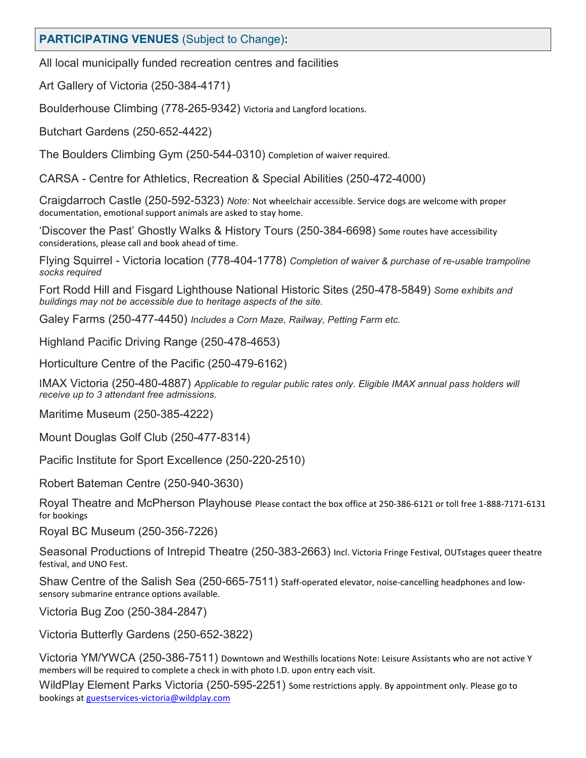# **PARTICIPATING VENUES** (Subject to Change)**:**

All local municipally funded recreation centres and facilities

Art Gallery of Victoria (250-384-4171)

Boulderhouse Climbing (778-265-9342) Victoria and Langford locations.

Butchart Gardens (250-652-4422)

The Boulders Climbing Gym (250-544-0310) Completion of waiver required.

CARSA - Centre for Athletics, Recreation & Special Abilities (250-472-4000)

Craigdarroch Castle (250-592-5323) *Note:* Not wheelchair accessible. Service dogs are welcome with proper documentation, emotional support animals are asked to stay home.

'Discover the Past' Ghostly Walks & History Tours (250-384-6698) Some routes have accessibility considerations, please call and book ahead of time.

Flying Squirrel - Victoria location (778-404-1778) *Completion of waiver & purchase of re-usable trampoline socks required*

Fort Rodd Hill and Fisgard Lighthouse National Historic Sites (250-478-5849) *Some exhibits and buildings may not be accessible due to heritage aspects of the site.*

Galey Farms (250-477-4450) *Includes a Corn Maze, Railway, Petting Farm etc.*

Highland Pacific Driving Range (250-478-4653)

Horticulture Centre of the Pacific (250-479-6162)

IMAX Victoria (250-480-4887) *Applicable to regular public rates only. Eligible IMAX annual pass holders will receive up to 3 attendant free admissions.*

Maritime Museum (250-385-4222)

Mount Douglas Golf Club (250-477-8314)

Pacific Institute for Sport Excellence (250-220-2510)

Robert Bateman Centre (250-940-3630)

Royal Theatre and McPherson Playhouse Please contact the box office at 250-386-6121 or toll free 1-888-7171-6131 for bookings

Royal BC Museum (250-356-7226)

Seasonal Productions of Intrepid Theatre (250-383-2663) Incl. Victoria Fringe Festival, OUTstages queer theatre festival, and UNO Fest.

Shaw Centre of the Salish Sea (250-665-7511) Staff-operated elevator, noise-cancelling headphones and lowsensory submarine entrance options available.

Victoria Bug Zoo (250-384-2847)

Victoria Butterfly Gardens (250-652-3822)

Victoria YM/YWCA (250-386-7511) Downtown and Westhills locations Note: Leisure Assistants who are not active Y members will be required to complete a check in with photo I.D. upon entry each visit.

WildPlay Element Parks Victoria (250-595-2251) Some restrictions apply. By appointment only. Please go to bookings at [guestservices-victoria@wildplay.com](mailto:guestservices-victoria@wildplay.com)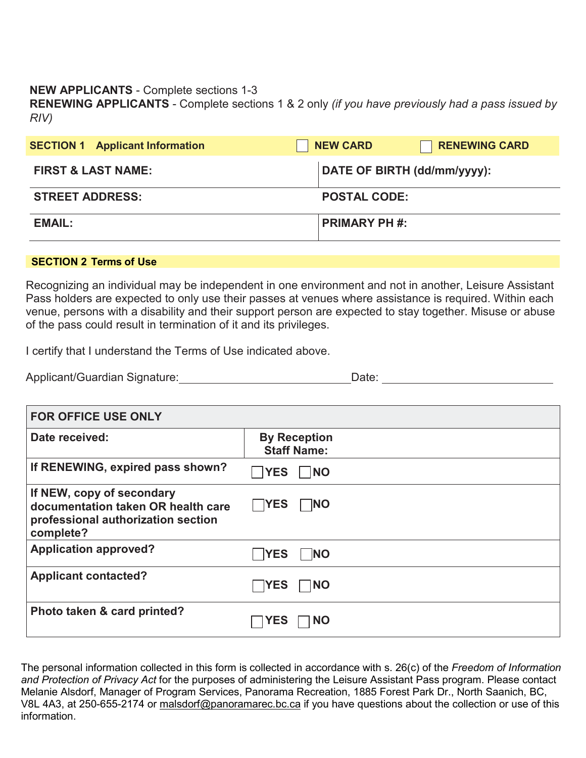## **NEW APPLICANTS** - Complete sections 1-3

**RENEWING APPLICANTS** - Complete sections 1 & 2 only *(if you have previously had a pass issued by RIV)*

| <b>SECTION 1 Applicant Information</b> | <b>NEW CARD</b><br><b>RENEWING CARD</b> |  |
|----------------------------------------|-----------------------------------------|--|
| <b>FIRST &amp; LAST NAME:</b>          | DATE OF BIRTH (dd/mm/yyyy):             |  |
| <b>STREET ADDRESS:</b>                 | <b>POSTAL CODE:</b>                     |  |
| <b>EMAIL:</b>                          | <b>PRIMARY PH #:</b>                    |  |

#### **SECTION 2 Terms of Use**

Recognizing an individual may be independent in one environment and not in another, Leisure Assistant Pass holders are expected to only use their passes at venues where assistance is required. Within each venue, persons with a disability and their support person are expected to stay together. Misuse or abuse of the pass could result in termination of it and its privileges.

I certify that I understand the Terms of Use indicated above.

| Applicant/Guardian Signature: | Date: |
|-------------------------------|-------|
|-------------------------------|-------|

| <b>FOR OFFICE USE ONLY</b>                                                                                         |                                           |
|--------------------------------------------------------------------------------------------------------------------|-------------------------------------------|
| Date received:                                                                                                     | <b>By Reception</b><br><b>Staff Name:</b> |
| If RENEWING, expired pass shown?                                                                                   | <b>YES</b><br><b>NO</b>                   |
| If NEW, copy of secondary<br>documentation taken OR health care<br>professional authorization section<br>complete? | $\Box$ YES<br><b>NO</b>                   |
| <b>Application approved?</b>                                                                                       | <b>YES</b><br><b>NO</b>                   |
| <b>Applicant contacted?</b>                                                                                        | <b>YES</b><br> NO                         |
| Photo taken & card printed?                                                                                        | YES<br><b>NO</b>                          |

The personal information collected in this form is collected in accordance with s. 26(c) of the *Freedom of Information and Protection of Privacy Act* for the purposes of administering the Leisure Assistant Pass program. Please contact Melanie Alsdorf, Manager of Program Services, Panorama Recreation, 1885 Forest Park Dr., North Saanich, BC, V8L 4A3, at 250-655-2174 or [malsdorf@panoramarec.bc.ca](mailto:hnawroth@panoramarec.bc.ca) if you have questions about the collection or use of this information.